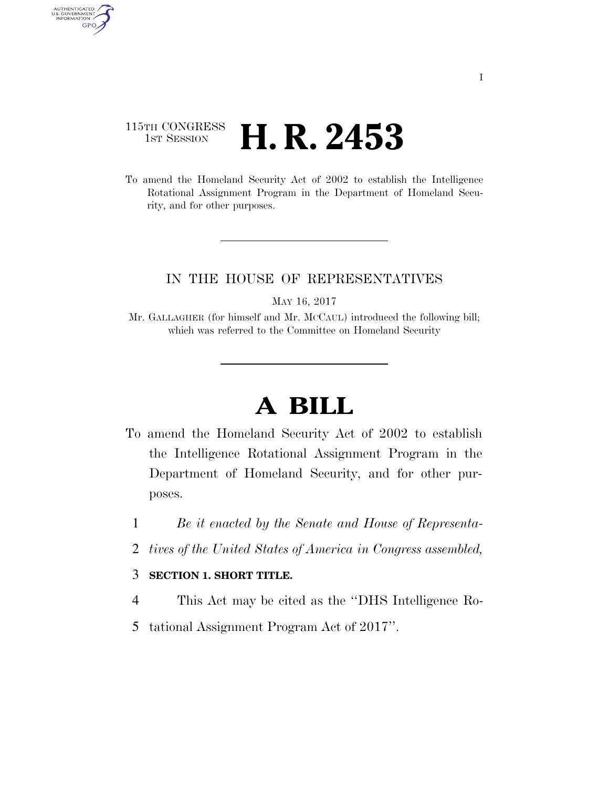## 115TH CONGRESS <sup>TH CONGRESS</sup> **H. R. 2453**

AUTHENTICATED<br>U.S. GOVERNMENT<br>INFORMATION GPO

> To amend the Homeland Security Act of 2002 to establish the Intelligence Rotational Assignment Program in the Department of Homeland Security, and for other purposes.

## IN THE HOUSE OF REPRESENTATIVES

MAY 16, 2017

Mr. GALLAGHER (for himself and Mr. MCCAUL) introduced the following bill; which was referred to the Committee on Homeland Security

## **A BILL**

- To amend the Homeland Security Act of 2002 to establish the Intelligence Rotational Assignment Program in the Department of Homeland Security, and for other purposes.
	- 1 *Be it enacted by the Senate and House of Representa-*
	- 2 *tives of the United States of America in Congress assembled,*

## 3 **SECTION 1. SHORT TITLE.**

- 4 This Act may be cited as the ''DHS Intelligence Ro-
- 5 tational Assignment Program Act of 2017''.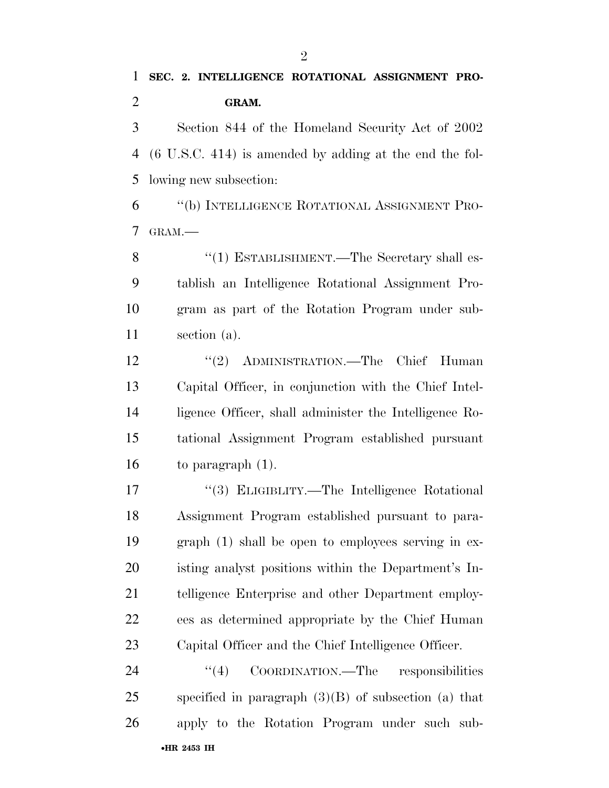Section 844 of the Homeland Security Act of 2002 (6 U.S.C. 414) is amended by adding at the end the fol-lowing new subsection:

 ''(b) INTELLIGENCE ROTATIONAL ASSIGNMENT PRO-GRAM.—

8 "(1) ESTABLISHMENT.—The Secretary shall es- tablish an Intelligence Rotational Assignment Pro- gram as part of the Rotation Program under sub-section (a).

12 "(2) ADMINISTRATION.—The Chief Human Capital Officer, in conjunction with the Chief Intel- ligence Officer, shall administer the Intelligence Ro- tational Assignment Program established pursuant to paragraph (1).

17 "(3) ELIGIBLITY.—The Intelligence Rotational Assignment Program established pursuant to para- graph (1) shall be open to employees serving in ex- isting analyst positions within the Department's In- telligence Enterprise and other Department employ- ees as determined appropriate by the Chief Human Capital Officer and the Chief Intelligence Officer.

•**HR 2453 IH** 24 "(4) COORDINATION.—The responsibilities specified in paragraph (3)(B) of subsection (a) that apply to the Rotation Program under such sub-